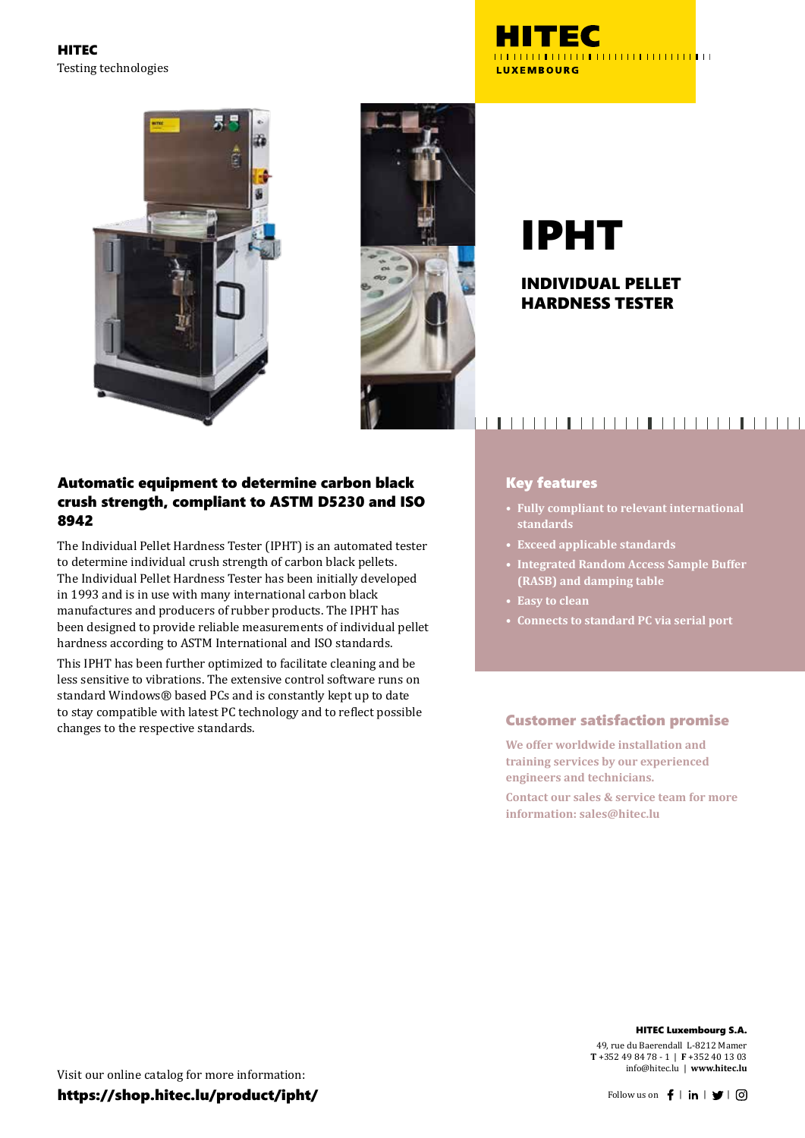HITEC Testing technologies







# IPHT

#### INDIVIDUAL PELLET HARDNESS TESTER

#### Automatic equipment to determine carbon black crush strength, compliant to ASTM D5230 and ISO 8942

The Individual Pellet Hardness Tester (IPHT) is an automated tester to determine individual crush strength of carbon black pellets. The Individual Pellet Hardness Tester has been initially developed in 1993 and is in use with many international carbon black manufactures and producers of rubber products. The IPHT has been designed to provide reliable measurements of individual pellet hardness according to ASTM International and ISO standards.

This IPHT has been further optimized to facilitate cleaning and be less sensitive to vibrations. The extensive control software runs on standard Windows® based PCs and is constantly kept up to date to stay compatible with latest PC technology and to reflect possible changes to the respective standards.

### 

#### Key features

- **• Fully compliant to relevant international standards**
- **• Exceed applicable standards**
- **• Integrated Random Access Sample Buffer (RASB) and damping table**
- **• Easy to clean**
- **• Connects to standard PC via serial port**

#### Customer satisfaction promise

**We offer worldwide installation and training services by our experienced engineers and technicians.**

**Contact our sales & service team for more information: sales@hitec.lu**

#### HITEC Luxembourg S.A.

49, rue du Baerendall L-8212 Mamer **T** +352 49 84 78 - 1 | **F** +352 40 13 03 info@hitec.lu | **www.hitec.lu**

Visit our online catalog for more information: https://shop.hitec.lu/product/ipht/